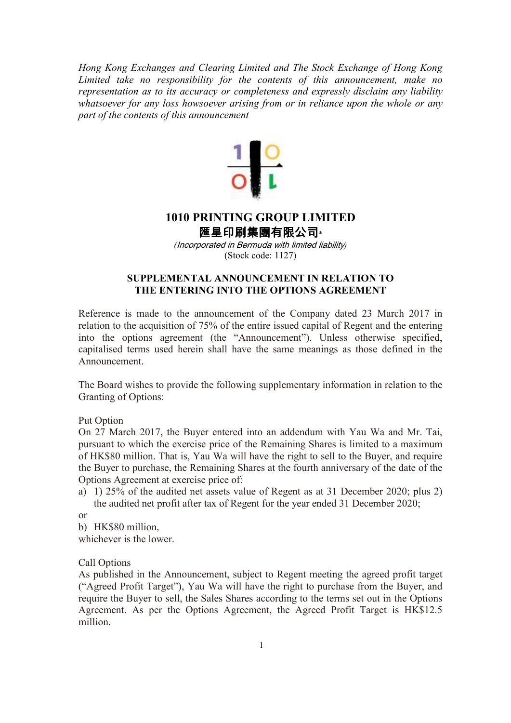*Hong Kong Exchanges and Clearing Limited and The Stock Exchange of Hong Kong Limited take no responsibility for the contents of this announcement, make no representation as to its accuracy or completeness and expressly disclaim any liability whatsoever for any loss howsoever arising from or in reliance upon the whole or any part of the contents of this announcement* 



## **1010 PRINTING GROUP LIMITED**

匯星印刷集團有限公司\*

*(*Incorporated in Bermuda with limited liability*)*  (Stock code: 1127)

## **SUPPLEMENTAL ANNOUNCEMENT IN RELATION TO THE ENTERING INTO THE OPTIONS AGREEMENT**

Reference is made to the announcement of the Company dated 23 March 2017 in relation to the acquisition of 75% of the entire issued capital of Regent and the entering into the options agreement (the "Announcement"). Unless otherwise specified, capitalised terms used herein shall have the same meanings as those defined in the Announcement.

The Board wishes to provide the following supplementary information in relation to the Granting of Options:

Put Option

On 27 March 2017, the Buyer entered into an addendum with Yau Wa and Mr. Tai, pursuant to which the exercise price of the Remaining Shares is limited to a maximum of HK\$80 million. That is, Yau Wa will have the right to sell to the Buyer, and require the Buyer to purchase, the Remaining Shares at the fourth anniversary of the date of the Options Agreement at exercise price of:

a) 1) 25% of the audited net assets value of Regent as at 31 December 2020; plus 2) the audited net profit after tax of Regent for the year ended 31 December 2020;

or

b) HK\$80 million,

whichever is the lower.

Call Options

As published in the Announcement, subject to Regent meeting the agreed profit target ("Agreed Profit Target"), Yau Wa will have the right to purchase from the Buyer, and require the Buyer to sell, the Sales Shares according to the terms set out in the Options Agreement. As per the Options Agreement, the Agreed Profit Target is HK\$12.5 million.